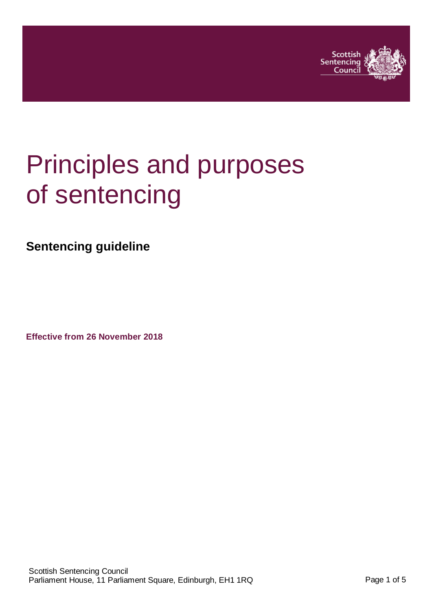

# Principles and purposes of sentencing

**Sentencing guideline**

**Effective from 26 November 2018**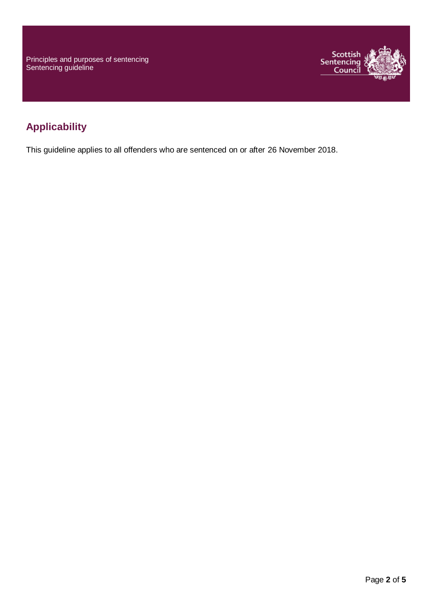Principles and purposes of sentencing Sentencing guideline



## **Applicability**

This guideline applies to all offenders who are sentenced on or after 26 November 2018.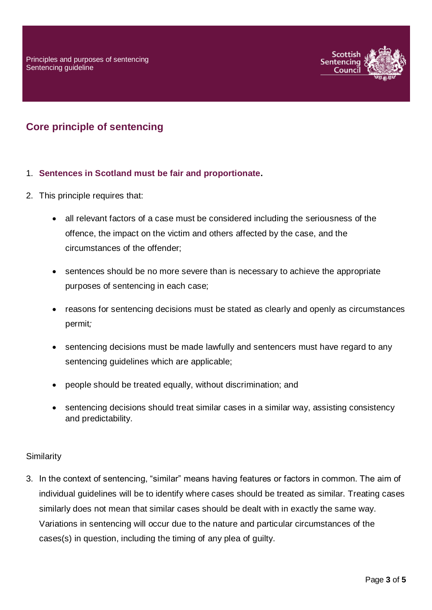

## **Core principle of sentencing**

#### 1. **Sentences in Scotland must be fair and proportionate.**

- 2. This principle requires that:
	- all relevant factors of a case must be considered including the seriousness of the offence, the impact on the victim and others affected by the case, and the circumstances of the offender;
	- sentences should be no more severe than is necessary to achieve the appropriate purposes of sentencing in each case;
	- reasons for sentencing decisions must be stated as clearly and openly as circumstances permit*;*
	- sentencing decisions must be made lawfully and sentencers must have regard to any sentencing guidelines which are applicable;
	- people should be treated equally, without discrimination; and
	- sentencing decisions should treat similar cases in a similar way, assisting consistency and predictability.

#### **Similarity**

3. In the context of sentencing, "similar" means having features or factors in common. The aim of individual guidelines will be to identify where cases should be treated as similar. Treating cases similarly does not mean that similar cases should be dealt with in exactly the same way. Variations in sentencing will occur due to the nature and particular circumstances of the cases(s) in question, including the timing of any plea of guilty.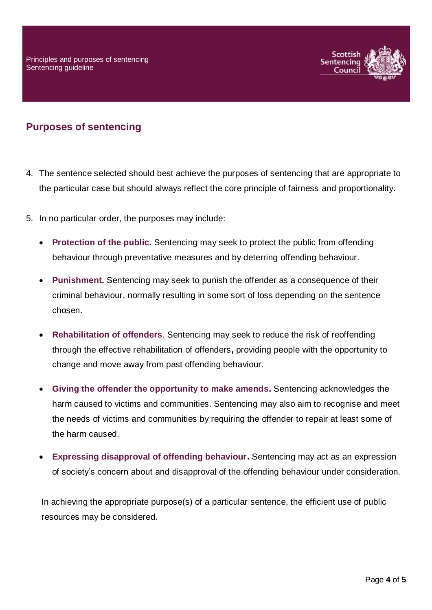

### **Purposes of sentencing**

- 4. The sentence selected should best achieve the purposes of sentencing that are appropriate to the particular case but should always reflect the core principle of fairness and proportionality.
- 5. In no particular order, the purposes may include:
	- **Protection of the public.** Sentencing may seek to protect the public from offending behaviour through preventative measures and by deterring offending behaviour.
	- **Punishment.** Sentencing may seek to punish the offender as a consequence of their criminal behaviour, normally resulting in some sort of loss depending on the sentence chosen.
	- **Rehabilitation of offenders**. Sentencing may seek to reduce the risk of reoffending through the effective rehabilitation of offenders**,** providing people with the opportunity to change and move away from past offending behaviour.
	- **Giving the offender the opportunity to make amends.** Sentencing acknowledges the harm caused to victims and communities. Sentencing may also aim to recognise and meet the needs of victims and communities by requiring the offender to repair at least some of the harm caused.
	- **Expressing disapproval of offending behaviour.** Sentencing may act as an expression of society's concern about and disapproval of the offending behaviour under consideration.

In achieving the appropriate purpose(s) of a particular sentence, the efficient use of public resources may be considered.